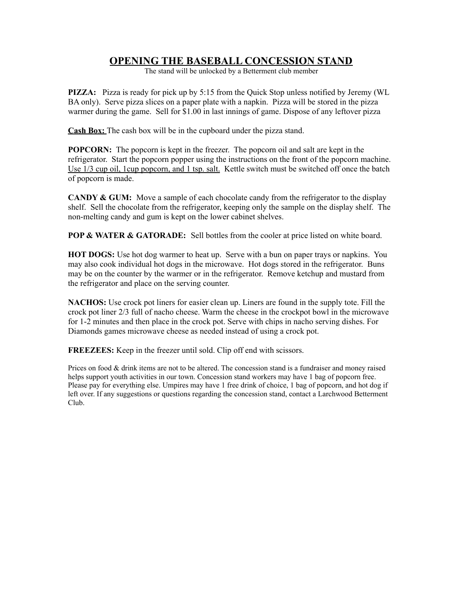## **OPENING THE BASEBALL CONCESSION STAND**

The stand will be unlocked by a Betterment club member

**PIZZA:** Pizza is ready for pick up by 5:15 from the Quick Stop unless notified by Jeremy (WL BA only). Serve pizza slices on a paper plate with a napkin. Pizza will be stored in the pizza warmer during the game. Sell for \$1.00 in last innings of game. Dispose of any leftover pizza

**Cash Box:** The cash box will be in the cupboard under the pizza stand.

**POPCORN:** The popcorn is kept in the freezer. The popcorn oil and salt are kept in the refrigerator. Start the popcorn popper using the instructions on the front of the popcorn machine. Use 1/3 cup oil, 1cup popcorn, and 1 tsp. salt. Kettle switch must be switched off once the batch of popcorn is made.

**CANDY & GUM:** Move a sample of each chocolate candy from the refrigerator to the display shelf. Sell the chocolate from the refrigerator, keeping only the sample on the display shelf. The non-melting candy and gum is kept on the lower cabinet shelves.

**POP & WATER & GATORADE:** Sell bottles from the cooler at price listed on white board.

**HOT DOGS:** Use hot dog warmer to heat up. Serve with a bun on paper trays or napkins. You may also cook individual hot dogs in the microwave. Hot dogs stored in the refrigerator. Buns may be on the counter by the warmer or in the refrigerator. Remove ketchup and mustard from the refrigerator and place on the serving counter.

**NACHOS:** Use crock pot liners for easier clean up. Liners are found in the supply tote. Fill the crock pot liner 2/3 full of nacho cheese. Warm the cheese in the crockpot bowl in the microwave for 1-2 minutes and then place in the crock pot. Serve with chips in nacho serving dishes. For Diamonds games microwave cheese as needed instead of using a crock pot.

**FREEZEES:** Keep in the freezer until sold. Clip off end with scissors.

Prices on food & drink items are not to be altered. The concession stand is a fundraiser and money raised helps support youth activities in our town. Concession stand workers may have 1 bag of popcorn free. Please pay for everything else. Umpires may have 1 free drink of choice, 1 bag of popcorn, and hot dog if left over. If any suggestions or questions regarding the concession stand, contact a Larchwood Betterment Club.